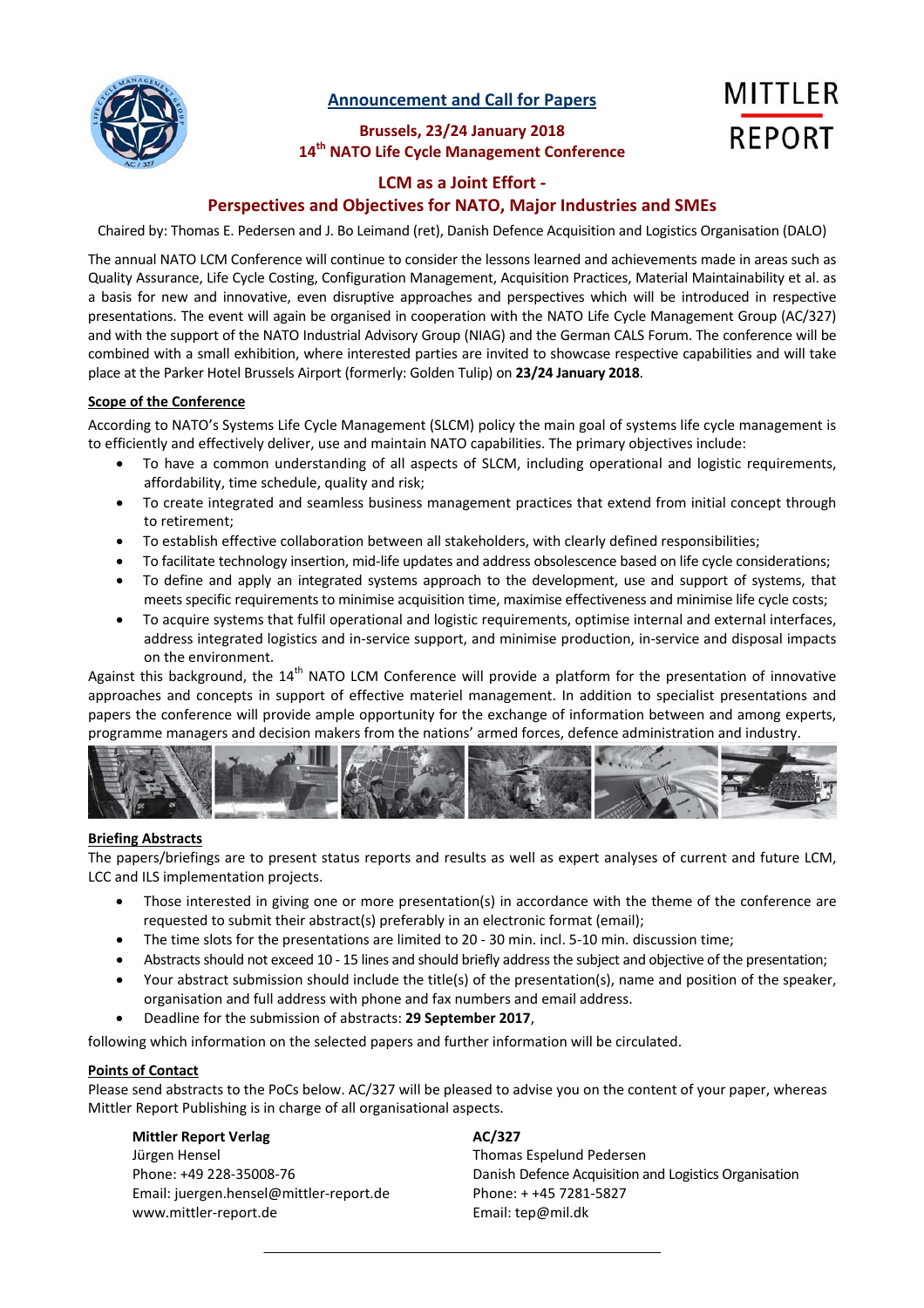

**Announcement and Call for Papers**

**Brussels, 23/24 January 2018 14th NATO Life Cycle Management Conference**

# **MITTLER REPORT**

#### **LCM as a Joint Effort ‐**

### **Perspectives and Objectives for NATO, Major Industries and SMEs**

Chaired by: Thomas E. Pedersen and J. Bo Leimand (ret), Danish Defence Acquisition and Logistics Organisation (DALO)

The annual NATO LCM Conference will continue to consider the lessons learned and achievements made in areas such as Quality Assurance, Life Cycle Costing, Configuration Management, Acquisition Practices, Material Maintainability et al. as a basis for new and innovative, even disruptive approaches and perspectives which will be introduced in respective presentations. The event will again be organised in cooperation with the NATO Life Cycle Management Group (AC/327) and with the support of the NATO Industrial Advisory Group (NIAG) and the German CALS Forum. The conference will be combined with a small exhibition, where interested parties are invited to showcase respective capabilities and will take place at the Parker Hotel Brussels Airport (formerly: Golden Tulip) on **23/24 January 2018**.

#### **Scope of the Conference**

According to NATO's Systems Life Cycle Management (SLCM) policy the main goal of systems life cycle management is to efficiently and effectively deliver, use and maintain NATO capabilities. The primary objectives include:

- To have a common understanding of all aspects of SLCM, including operational and logistic requirements, affordability, time schedule, quality and risk;
- To create integrated and seamless business management practices that extend from initial concept through to retirement;
- To establish effective collaboration between all stakeholders, with clearly defined responsibilities;
- To facilitate technology insertion, mid‐life updates and address obsolescence based on life cycle considerations;
- To define and apply an integrated systems approach to the development, use and support of systems, that meets specific requirements to minimise acquisition time, maximise effectiveness and minimise life cycle costs;
- To acquire systems that fulfil operational and logistic requirements, optimise internal and external interfaces, address integrated logistics and in‐service support, and minimise production, in‐service and disposal impacts on the environment.

Against this background, the 14<sup>th</sup> NATO LCM Conference will provide a platform for the presentation of innovative approaches and concepts in support of effective materiel management. In addition to specialist presentations and papers the conference will provide ample opportunity for the exchange of information between and among experts, programme managers and decision makers from the nations' armed forces, defence administration and industry.



#### **Briefing Abstracts**

The papers/briefings are to present status reports and results as well as expert analyses of current and future LCM, LCC and ILS implementation projects.

- Those interested in giving one or more presentation(s) in accordance with the theme of the conference are requested to submit their abstract(s) preferably in an electronic format (email);
- The time slots for the presentations are limited to 20 30 min. incl. 5-10 min. discussion time;
- Abstracts should not exceed 10 15 lines and should briefly address the subject and objective of the presentation;
- Your abstract submission should include the title(s) of the presentation(s), name and position of the speaker, organisation and full address with phone and fax numbers and email address.
- Deadline for the submission of abstracts: **29 September 2017**,

following which information on the selected papers and further information will be circulated.

#### **Points of Contact**

Please send abstracts to the PoCs below. AC/327 will be pleased to advise you on the content of your paper, whereas Mittler Report Publishing is in charge of all organisational aspects.

#### **Mittler Report Verlag AC/327**

Jürgen Hensel Thomas Espelund Pedersen Email: juergen.hensel@mittler-report.de Phone: + +45 7281-5827 www.mittler‐report.de Email: tep@mil.dk

Phone: +49 228‐35008‐76 Danish Defence Acquisition and Logistics Organisation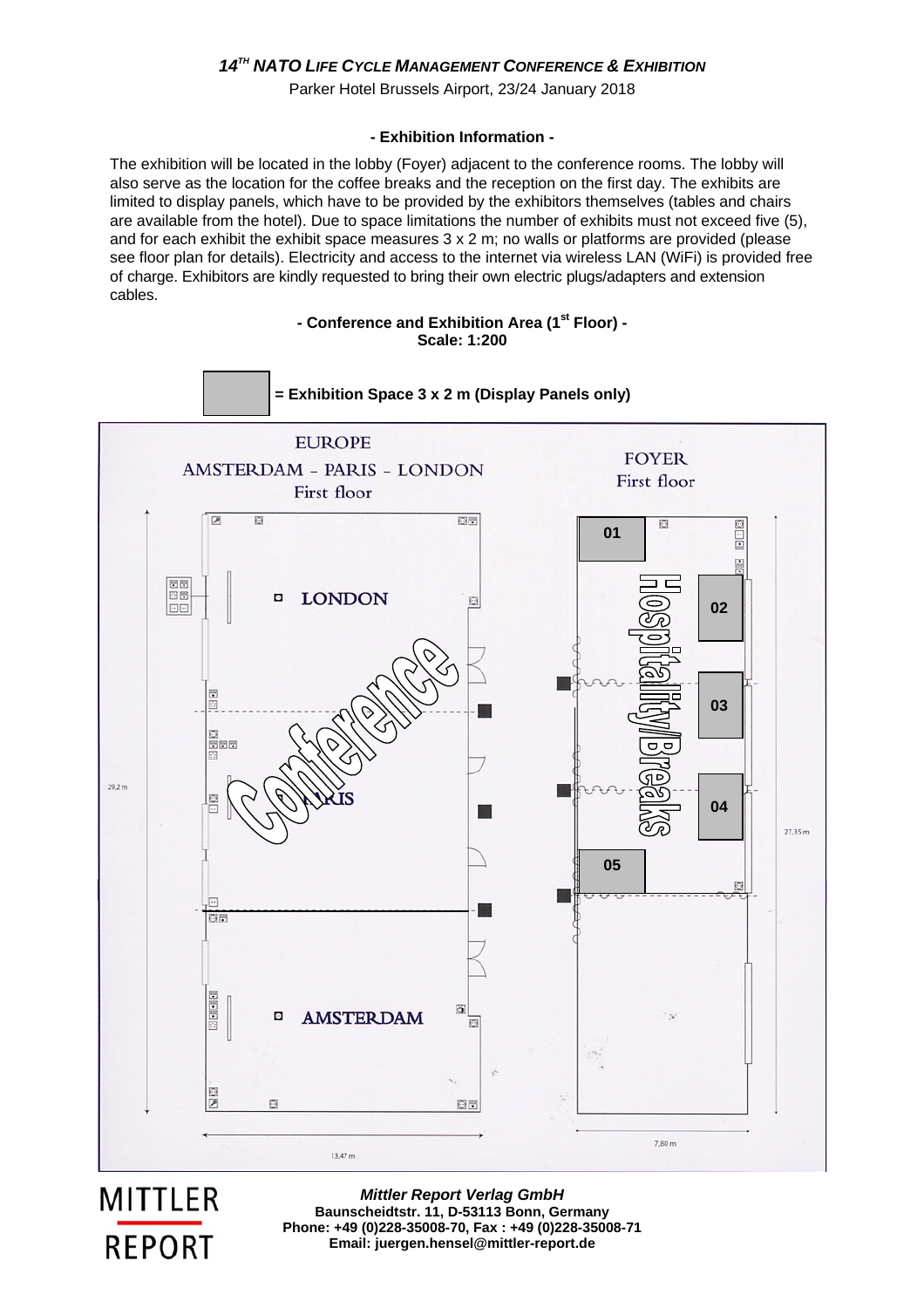### *14TH NATO LIFE CYCLE MANAGEMENT CONFERENCE & EXHIBITION*

Parker Hotel Brussels Airport, 23/24 January 2018

#### **- Exhibition Information -**

The exhibition will be located in the lobby (Foyer) adjacent to the conference rooms. The lobby will also serve as the location for the coffee breaks and the reception on the first day. The exhibits are limited to display panels, which have to be provided by the exhibitors themselves (tables and chairs are available from the hotel). Due to space limitations the number of exhibits must not exceed five (5), and for each exhibit the exhibit space measures  $3 \times 2$  m; no walls or platforms are provided (please see floor plan for details). Electricity and access to the internet via wireless LAN (WiFi) is provided free of charge. Exhibitors are kindly requested to bring their own electric plugs/adapters and extension cables.

#### **- Conference and Exhibition Area (1st Floor) - Scale: 1:200**



**MITTLER REPORT** 

*Mittler Report Verlag GmbH*  **Baunscheidtstr. 11, D-53113 Bonn, Germany Phone: +49 (0)228-35008-70, Fax : +49 (0)228-35008-71 Email: juergen.hensel@mittler-report.de**